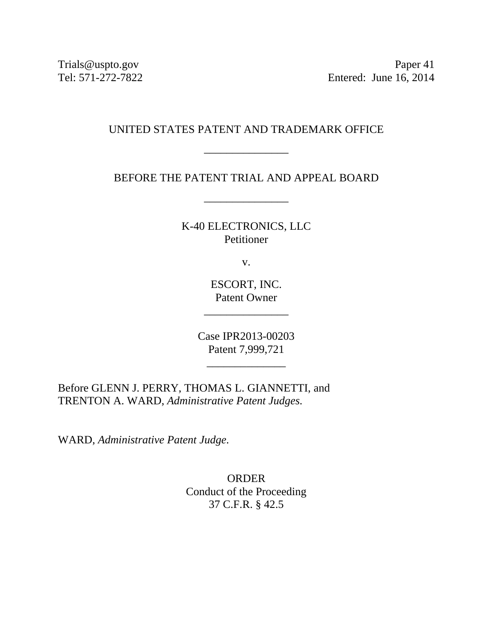Trials@uspto.gov Paper 41 Tel: 571-272-7822 Entered: June 16, 2014

## UNITED STATES PATENT AND TRADEMARK OFFICE

\_\_\_\_\_\_\_\_\_\_\_\_\_\_\_

BEFORE THE PATENT TRIAL AND APPEAL BOARD

\_\_\_\_\_\_\_\_\_\_\_\_\_\_\_

K-40 ELECTRONICS, LLC Petitioner

v.

ESCORT, INC. Patent Owner

\_\_\_\_\_\_\_\_\_\_\_\_\_\_\_

Case IPR2013-00203 Patent 7,999,721

\_\_\_\_\_\_\_\_\_\_\_\_\_\_

Before GLENN J. PERRY, THOMAS L. GIANNETTI, and TRENTON A. WARD, *Administrative Patent Judges.* 

WARD, *Administrative Patent Judge*.

ORDER Conduct of the Proceeding 37 C.F.R. § 42.5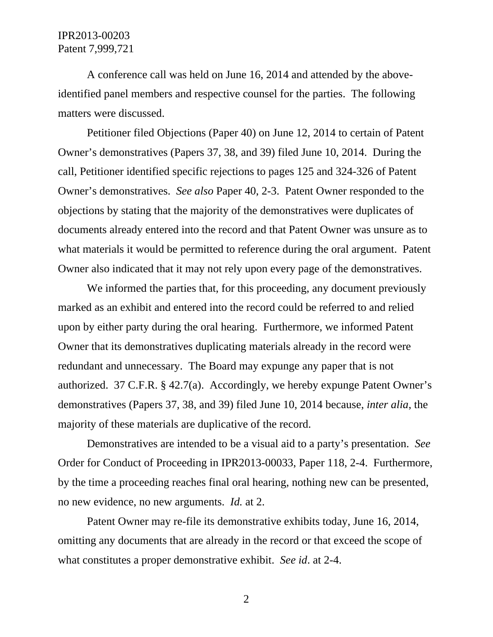## IPR2013-00203 Patent 7,999,721

A conference call was held on June 16, 2014 and attended by the aboveidentified panel members and respective counsel for the parties. The following matters were discussed.

Petitioner filed Objections (Paper 40) on June 12, 2014 to certain of Patent Owner's demonstratives (Papers 37, 38, and 39) filed June 10, 2014. During the call, Petitioner identified specific rejections to pages 125 and 324-326 of Patent Owner's demonstratives. *See also* Paper 40, 2-3. Patent Owner responded to the objections by stating that the majority of the demonstratives were duplicates of documents already entered into the record and that Patent Owner was unsure as to what materials it would be permitted to reference during the oral argument. Patent Owner also indicated that it may not rely upon every page of the demonstratives.

We informed the parties that, for this proceeding, any document previously marked as an exhibit and entered into the record could be referred to and relied upon by either party during the oral hearing. Furthermore, we informed Patent Owner that its demonstratives duplicating materials already in the record were redundant and unnecessary. The Board may expunge any paper that is not authorized. 37 C.F.R. § 42.7(a). Accordingly, we hereby expunge Patent Owner's demonstratives (Papers 37, 38, and 39) filed June 10, 2014 because, *inter alia*, the majority of these materials are duplicative of the record.

Demonstratives are intended to be a visual aid to a party's presentation. *See* Order for Conduct of Proceeding in IPR2013-00033, Paper 118, 2-4. Furthermore, by the time a proceeding reaches final oral hearing, nothing new can be presented, no new evidence, no new arguments. *Id.* at 2.

Patent Owner may re-file its demonstrative exhibits today, June 16, 2014, omitting any documents that are already in the record or that exceed the scope of what constitutes a proper demonstrative exhibit. *See id*. at 2-4.

2